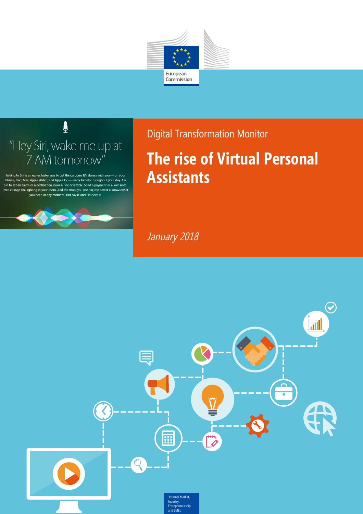



Talking to Siri is an easier, faster way to get things done. It's always with you - on your iPhone, iPad, Mac, Apple Watch, and Apple TV — ready to help throughout your day. Ask Siri to set an alarm or a destination. Book a ride or a table. Send a payment or a love note. Even change the lighting in your room. And the more you use Siri, the better it knows what you need at any moment. Just say it, and Siri does it.



Digital Transformation Monitor

# **The rise of Virtual Personal Assistants**

January 2018

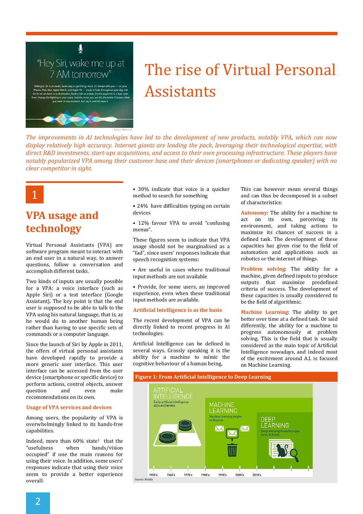

# The rise of Virtual Personal Assistants

*The improvements in AI technologies have led to the development of new products, notably VPA, which can now display relatively high accuracy. Internet giants are leading the pack, leveraging their technological expertise, with direct R&D investments, start-ups acquisitions, and access to their own processing infrastructure. These players have notably popularized VPA among their customer base and their devices (smartphones or dedicating speaker) with no clear competitor in sight.*



# **VPA usage and technology**

Virtual Personal Assistants (VPA) are software program meant to interact with an end user in a natural way, to answer questions, follow a conversation and accomplish different tasks.

Two kinds of inputs are usually possible for a VPA: a voice interface (such as Apple Siri) or a text interface (Google Assistant). The key point is that the end user is supposed to be able to talk to the VPA using his natural language, that is, as he would do to another human being rather than having to use specific sets of commands or a computer language.

Since the launch of Siri by Apple in 2011, the offers of virtual personal assistants have developed rapidly to provide a more generic user interface. This user interface can be accessed from the user device (smartphone or specific device) to perform actions, control objects, answer question and even make recommendations on its own.

#### **Usage of VPA services and devices**

Among users, the popularity of VPA is overwhelmingly linked to its hands-free capabilities.

Indeed, more than  $60\%$  state<sup>1</sup> that the "usefulness when hands/vision occupied" if one the main reasons for using their voice. In addition, some users' responses indicate that using their voice seem to provide a better experience overall:

• 30% indicate that voice is a quicker method to search for something

• 24% have difficulties typing on certain devices

• 12% favour VPA to avoid "confusing menus".

These figures seem to indicate that VPA usage should not be marginalised as a "fad", since users' responses indicate that speech recognition systems:

• Are useful in cases where traditional input methods are not available

• Provide, for some users, an improved experience, even when these traditional input methods are available.

#### **Artificial Intelligence is as the basis**

The recent development of VPA can be directly linked to recent progress in AI technologies.

Artificial Intelligence can be defined in several ways. Grossly speaking it is the ability for a machine to mimic the cognitive behaviour of a human being,

This can however mean several things and can thus be decomposed in a subset of characteristics:

**Autonomy**: The ability for a machine to act on its own, perceiving its environment, and taking actions to maximize its chances of success in a defined task. The development of these capacities has given rise to the field of automation and applications such as robotics or the internet of things.

**Problem solving**: The ability for a machine, given defined inputs to produce outputs that maximize predefined criteria of success. The development of these capacities is usually considered to be the field of algorithmic.

**Machine Learning**: The ability to get better over time at a defined task. Or said differently, the ability for a machine to progress autonomously at problem solving. This is the field that is usually considered as the main topic of Artificial Intelligence nowadays, and indeed most of the excitement around A.I. is focused on Machine Learning.

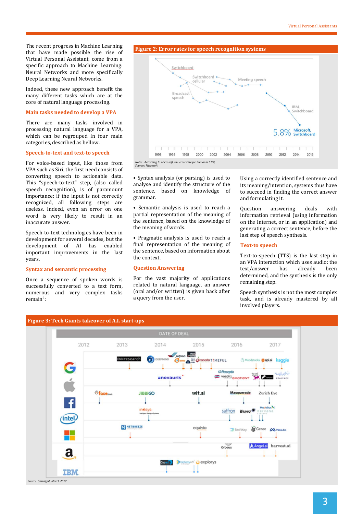The recent progress in Machine Learning that have made possible the rise of Virtual Personal Assistant, come from a specific approach to Machine Learning: Neural Networks and more specifically Deep Learning Neural Networks.

Indeed, these new approach benefit the many different tasks which are at the core of natural language processing.

#### **Main tasks needed to develop a VPA**

There are many tasks involved in processing natural language for a VPA, which can be regrouped in four main categories, described as bellow.

#### **Speech-to-text and text-to speech**

For voice-based input, like those from VPA such as Siri, the first need consists of converting speech to actionable data. This "speech-to-text" step, (also called speech recognition), is of paramount importance: if the input is not correctly recognized, all following steps are useless. Indeed, even an error on one word is very likely to result in an inaccurate answer.

Speech-to-text technologies have been in development for several decades, but the development of AI has enabled important improvements in the last years.

#### **Syntax and semantic processing**

Once a sequence of spoken words is successfully converted to a text form, numerous and very complex tasks remain<sup>2</sup>:



• Syntax analysis (or parsing) is used to analyse and identify the structure of the sentence, based on knowledge of grammar.

• Semantic analysis is used to reach a partial representation of the meaning of the sentence, based on the knowledge of the meaning of words.

• Pragmatic analysis is used to reach a final representation of the meaning of the sentence, based on information about the context.

#### **Question Answering**

For the vast majority of applications related to natural language, an answer (oral and/or written) is given back after a query from the user.

Using a correctly identified sentence and its meaning/intention, systems thus have to succeed in finding the correct answer and formulating it.

Question answering deals with information retrieval (using information on the Internet, or in an application) and generating a correct sentence, before the last step of speech synthesis.

#### **Text-to speech**

Text-to-speech (TTS) is the last step in an VPA interaction which uses audio: the text/answer has already been determined, and the synthesis is the only remaining step.

Speech synthesis is not the most complex task, and is already mastered by all involved players.

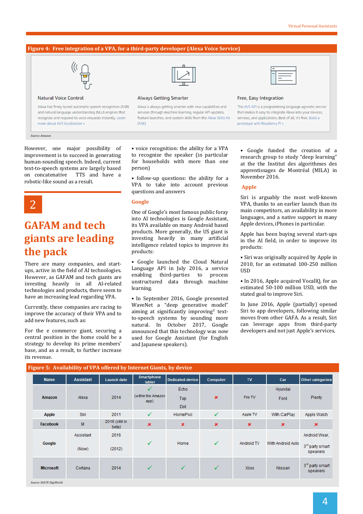#### **Figure 4: Free integration of a VPA, for a third-party developer (Alexa Voice Service)**



#### **Natural Voice Control**

Alexa has finely tuned automatic speech recognition (ASR) and natural language understanding (NLU) engines that recognize and respond to voice requests instantly. Learn more about AVS localization

*Source: Amazon*

However, one major possibility of improvement is to succeed in generating human-sounding speech. Indeed, current text-to-speech systems are largely based on concatenative TTS and have a robotic-like sound as a result.



## **GAFAM and tech giants are leading the pack**

There are many companies, and startups, active in the field of AI technologies. However, as GAFAM and tech giants are investing heavily in all AI-related technologies and products, there seem to have an increasing lead regarding VPA.

Currently, these companies are racing to improve the accuracy of their VPA and to add new features, such as:

For the e commerce giant, securing a central position in the home could be a strategy to develop its prime members' base, and as a result, to further increase its revenue.



#### **Always Getting Smarter**

Alexa is always getting smarter with new capabilities and services through machine learning, regular API updates, feature launches, and custom skills from the Alexa Skills Kit (ASK)

#### Free, Easy Integration

The AVS API is a programming language agnostic service that makes it easy to integrate Alexa into your devices. services, and applications. Best of all, it's free. Build a prototype with Raspberry Pi »

• voice recognition: the ability for a VPA to recognize the speaker (in particular for households with more than one person)

• follow-up questions: the ability for a VPA to take into account previous questions and answers

#### **Google**

One of Google's most famous public foray into AI technologies is Google Assistant, its VPA available on many Android based products. More generally, the US giant is investing heavily in many artificial intelligence related topics to improve its products:

• Google launched the Cloud Natural Language API in July 2016, a service enabling third-parties to process unstructured data through machine learning.

• In September 2016, Google presented WaveNet a "deep generative model" aiming at significantly improving<sup>3</sup> textto-speech systems by sounding more natural. In October 2017, Google announced that this technology was now used for Google Assistant (for English and Japanese speakers).

Google funded the creation of a research group to study "deep learning" at the the Institut des algorithmes des apprentissages de Montréal (MILA) in November 2016.

#### **Apple**

Siri is arguably the most well-known VPA, thanks to an earlier launch than its main competitors, an availability in more languages, and a native support in many Apple devices, iPhones in particular.

Apple has been buying several start-ups in the AI field, in order to improve its products:

• Siri was originally acquired by Apple in 2010, for an estimated 100-250 million USD

• In 2016, Apple acquired VocallQ, for an estimated 50-100 million USD, with the stated goal to improve Siri.

In June 2016, Apple (partially) opened Siri to app developers, following similar moves from other GAFA. As a result, Siri can leverage apps from third-party developers and not just Apple's services,

| <b>Name</b>      | <b>Assistant</b>   | Launch date             | Smartphone<br>tablet        | <b>Dedicated device</b> | Computer     | TV             | Car               | Other categories                             |
|------------------|--------------------|-------------------------|-----------------------------|-------------------------|--------------|----------------|-------------------|----------------------------------------------|
| Amazon           | Alexa              | 2014                    | (within the Amazon)<br>app) | Echo<br>Tap<br>Dot      | ×            | Fire TV        | Hyundai<br>Ford   | Plenty                                       |
| Apple            | Siri               | 2011                    |                             | HomePod                 |              | Apple TV       | With CarPlay      | Apple Watch                                  |
| Facebook         | $\mathsf{M}$       | 2015 (still in<br>beta) | ×                           | ×                       | ×            | $\pmb{\times}$ | ×                 | ×                                            |
| Google           | Assistant<br>(Now) | 2016<br>(2012)          | ✓                           | Home                    | $\checkmark$ | Android TV     | With Android Auto | Android Wear.<br>3rd party smart<br>speakers |
| <b>Microsoft</b> | Cortana            | 2014                    | $\checkmark$                | $\checkmark$            | $\checkmark$ | Xbox           | Nissan            | $3rd$ party smart<br>speakers                |

*Source: IDATE DigiWorld*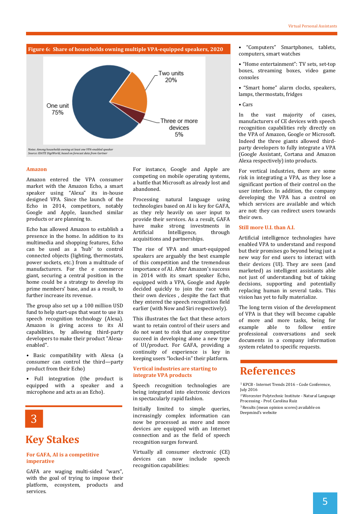

*Notes: Among households owning at least one VPA-enabled speaker Source: IDATE DigiWorld, based on forecast data from Gartner*

#### **Amazon**

Amazon entered the VPA consumer market with the Amazon Echo, a smart speaker using "Alexa" its in-house designed VPA. Since the launch of the Echo in 2014, competitors, notably Google and Apple, launched similar products or are planning to.

Echo has allowed Amazon to establish a line and allowed Amazon to establish a line and Artificial presence in the home. In addition to its multimedia and shopping features, Echo can be used as a 'hub' to control connected objects (lighting, thermostats, power sockets, etc.) from a multitude of manufacturers. For the e commerce giant, securing a central position in the home could be a strategy to develop its prime members' base, and as a result, to further increase its revenue.

The group also set up a 100 million USD fund to help start-ups that want to use its speech recognition technology (Alexa). Amazon is giving access to its AI capabilities, by allowing third-party developers to make their product "Alexaenabled".

• Basic compatibility with Alexa (a consumer can control the third—party product from their Echo)

• Full integration (the product is equipped with a speaker and a microphone and acts as an Echo).



### **Key Stakes**

#### **For GAFA, AI is a competitive imperative**

GAFA are waging multi-sided "wars", with the goal of trying to impose their platform, ecosystem, products and services.

For instance, Google and Apple are competing on mobile operating systems, a battle that Microsoft as already lost and abandoned.

Processing natural language using technologies based on AI is key for GAFA, as they rely heavily on user input to provide their services. As a result, GAFA have make strong investments in Intelligence, through acquisitions and partnerships.

The rise of VPA and smart-equipped speakers are arguably the best example of this competition and the tremendous importance of AI. After Amazon's success in 2014 with its smart speaker Echo, equipped with a VPA, Google and Apple decided quickly to join the race with their own devices , despite the fact that they entered the speech recognition field earlier (with Now and Siri respectively).

This illustrates the fact that these actors want to retain control of their users and do not want to risk that any competitor succeed in developing alone a new type of UI/product. For GAFA, providing a continuity of experience is key in keeping users "locked-in" their platform.

#### **Vertical industries are starting to integrate VPA products**

Speech recognition technologies are being integrated into electronic devices in spectacularly rapid fashion.

Initially limited to simple queries, increasingly complex information can now be processed as more and more devices are equipped with an Internet connection and as the field of speech recognition surges forward.

Virtually all consumer electronic (CE) devices can now include speech recognition capabilities:

• "Computers" Smartphones, tablets, computers, smart watches

• "Home entertainment": TV sets, set-top boxes, streaming boxes, video game consoles

• "Smart home" alarm clocks, speakers, lamps, thermostats, fridges

• Cars

In the vast majority of cases, manufacturers of CE devices with speech recognition capabilities rely directly on the VPA of Amazon, Google or Microsoft. Indeed the three giants allowed thirdparty developers to fully integrate a VPA (Google Assistant, Cortana and Amazon Alexa respectively) into products.

For vertical industries, there are some risk in integrating a VPA, as they lose a significant portion of their control on the user interface. In addition, the company developing the VPA has a control on which services are available and which are not: they can redirect users towards their own.

#### **Still more U.I. than A.I.**

Artificial intelligence technologies have enabled VPA to understand and respond but their promises go beyond being just a new way for end users to interact with their devices (UI). They are seen (and marketed) as intelligent assistants able not just of understanding but of taking decisions, supporting and potentially replacing human in several tasks. This vision has yet to fully materialize.

The long term vision of the development of VPA is that they will become capable of more and more tasks, being for example able to follow entire professional conversations and seek documents in a company information system related to specific requests.

### **References**

<sup>1</sup> KPCB - Internet Trends 2016 – Code Conference, July 2016

<sup>2</sup>Worcester Polytechnic Institute - Natural Language Processing - Prof. Carolina Ruiz

<sup>3</sup>Results (mean opinion scores) available on Deepmind's website